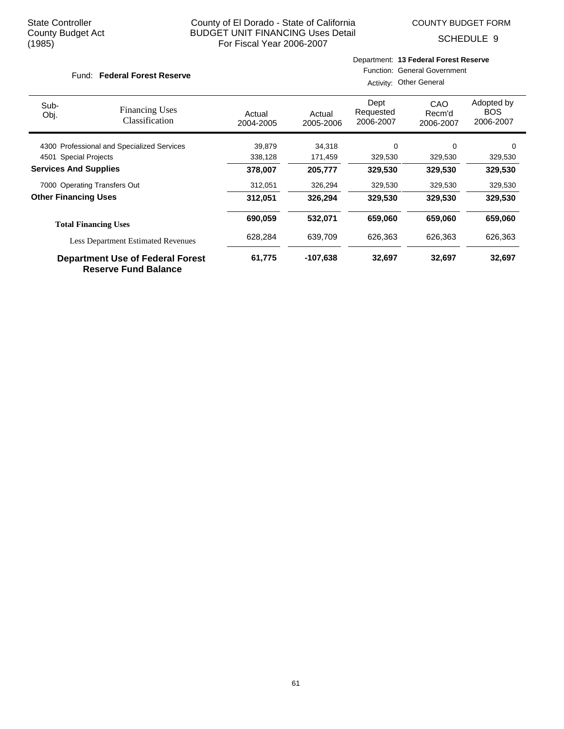COUNTY BUDGET FORM

SCHEDULE 9

#### Fund: Federal Forest Reserve

### Department: **13 Federal Forest Reserve** Function: General Government

Activity: Other General

| Sub-<br>Obj.                 | <b>Financing Uses</b><br>Classification                                | Actual<br>2004-2005 | Actual<br>2005-2006 | Dept<br>Requested<br>2006-2007 | CAO<br>Recm'd<br>2006-2007 | Adopted by<br><b>BOS</b><br>2006-2007 |
|------------------------------|------------------------------------------------------------------------|---------------------|---------------------|--------------------------------|----------------------------|---------------------------------------|
|                              | 4300 Professional and Specialized Services                             | 39,879              | 34,318              | $\Omega$                       | $\Omega$                   | 0                                     |
| 4501                         | <b>Special Projects</b>                                                | 338,128             | 171,459             | 329,530                        | 329,530                    | 329,530                               |
| <b>Services And Supplies</b> |                                                                        | 378,007             | 205,777             | 329,530                        | 329,530                    | 329,530                               |
|                              | 7000 Operating Transfers Out                                           | 312,051             | 326,294             | 329,530                        | 329,530                    | 329,530                               |
| <b>Other Financing Uses</b>  |                                                                        | 312,051             | 326.294             | 329,530                        | 329,530                    | 329,530                               |
|                              | <b>Total Financing Uses</b>                                            | 690,059             | 532,071             | 659,060                        | 659,060                    | 659,060                               |
|                              | <b>Less Department Estimated Revenues</b>                              | 628,284             | 639,709             | 626,363                        | 626,363                    | 626,363                               |
|                              | <b>Department Use of Federal Forest</b><br><b>Reserve Fund Balance</b> | 61,775              | -107,638            | 32,697                         | 32,697                     | 32,697                                |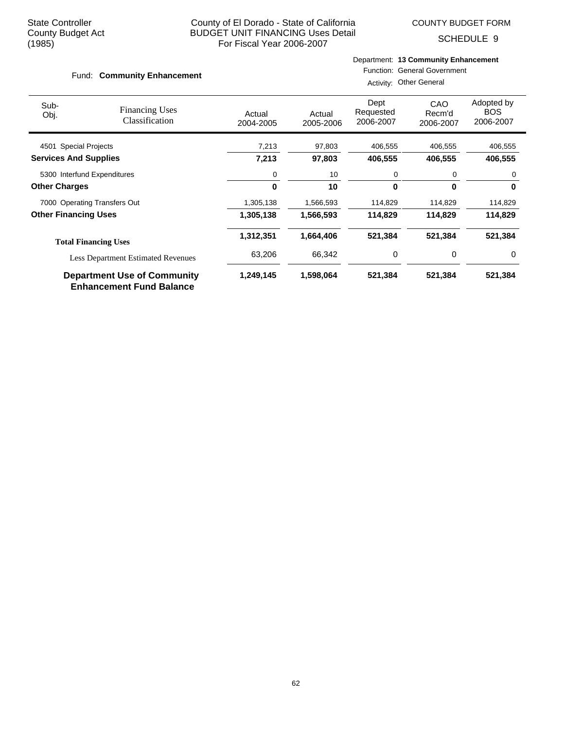COUNTY BUDGET FORM

SCHEDULE 9

#### Fund: Community Enhancement

# Department: **13 Community Enhancement**

Function: General Government Activity: Other General

| Sub-<br>Obj.                 | <b>Financing Uses</b><br>Classification                               | Actual<br>2004-2005 | Actual<br>2005-2006 | Dept<br>Requested<br>2006-2007 | <b>CAO</b><br>Recm'd<br>2006-2007 | Adopted by<br><b>BOS</b><br>2006-2007 |
|------------------------------|-----------------------------------------------------------------------|---------------------|---------------------|--------------------------------|-----------------------------------|---------------------------------------|
| 4501 Special Projects        |                                                                       | 7,213               | 97,803              | 406,555                        | 406,555                           | 406,555                               |
| <b>Services And Supplies</b> |                                                                       | 7,213               | 97,803              | 406,555                        | 406,555                           | 406,555                               |
| 5300 Interfund Expenditures  |                                                                       | 0                   | 10                  | 0                              | 0                                 | 0                                     |
| <b>Other Charges</b>         |                                                                       | $\bf{0}$            | 10                  | 0                              | $\bf{0}$                          | 0                                     |
|                              | 7000 Operating Transfers Out                                          | 1,305,138           | 1,566,593           | 114,829                        | 114,829                           | 114,829                               |
| <b>Other Financing Uses</b>  |                                                                       | 1,305,138           | 1,566,593           | 114,829                        | 114,829                           | 114,829                               |
|                              | <b>Total Financing Uses</b>                                           | 1,312,351           | 1,664,406           | 521,384                        | 521,384                           | 521,384                               |
|                              | <b>Less Department Estimated Revenues</b>                             | 63,206              | 66,342              | 0                              | 0                                 | 0                                     |
|                              | <b>Department Use of Community</b><br><b>Enhancement Fund Balance</b> | 1,249,145           | 1,598,064           | 521,384                        | 521,384                           | 521,384                               |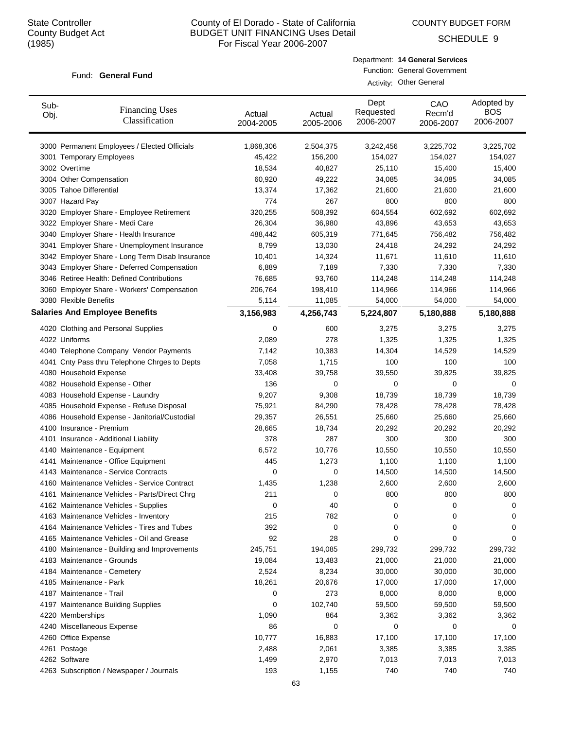COUNTY BUDGET FORM

SCHEDULE 9

#### Fund: General Fund

| Department: 14 General Services |
|---------------------------------|
| Function: General Government    |
| Activity: Other General         |

| Sub-<br>Obj. | <b>Financing Uses</b><br>Classification         | Actual<br>2004-2005 | Actual<br>2005-2006 | Dept<br>Requested<br>2006-2007 | CAO<br>Recm'd<br>2006-2007 | Adopted by<br><b>BOS</b><br>2006-2007 |
|--------------|-------------------------------------------------|---------------------|---------------------|--------------------------------|----------------------------|---------------------------------------|
|              | 3000 Permanent Employees / Elected Officials    | 1,868,306           | 2,504,375           | 3,242,456                      | 3,225,702                  | 3,225,702                             |
|              | 3001 Temporary Employees                        | 45,422              | 156,200             | 154,027                        | 154,027                    | 154,027                               |
|              | 3002 Overtime                                   | 18,534              | 40,827              | 25,110                         | 15,400                     | 15,400                                |
|              | 3004 Other Compensation                         | 60,920              | 49,222              | 34,085                         | 34,085                     | 34,085                                |
|              | 3005 Tahoe Differential                         | 13,374              | 17,362              | 21,600                         | 21,600                     | 21,600                                |
|              | 3007 Hazard Pay                                 | 774                 | 267                 | 800                            | 800                        | 800                                   |
|              | 3020 Employer Share - Employee Retirement       | 320,255             | 508,392             | 604,554                        | 602,692                    | 602,692                               |
|              | 3022 Employer Share - Medi Care                 | 26,304              | 36,980              | 43,896                         | 43,653                     | 43,653                                |
|              | 3040 Employer Share - Health Insurance          | 488,442             | 605,319             | 771,645                        | 756,482                    | 756,482                               |
|              | 3041 Employer Share - Unemployment Insurance    | 8,799               | 13,030              | 24,418                         | 24,292                     | 24,292                                |
|              | 3042 Employer Share - Long Term Disab Insurance | 10,401              | 14,324              | 11,671                         | 11,610                     | 11,610                                |
|              | 3043 Employer Share - Deferred Compensation     | 6,889               | 7,189               | 7,330                          | 7,330                      | 7,330                                 |
|              | 3046 Retiree Health: Defined Contributions      | 76,685              | 93,760              | 114,248                        | 114,248                    | 114,248                               |
|              | 3060 Employer Share - Workers' Compensation     | 206,764             | 198,410             | 114,966                        | 114,966                    | 114,966                               |
|              | 3080 Flexible Benefits                          | 5,114               | 11,085              | 54,000                         | 54,000                     | 54,000                                |
|              | <b>Salaries And Employee Benefits</b>           | 3,156,983           | 4,256,743           | 5,224,807                      | 5,180,888                  | 5,180,888                             |
|              | 4020 Clothing and Personal Supplies             | 0                   | 600                 | 3,275                          | 3,275                      | 3,275                                 |
|              | 4022 Uniforms                                   | 2,089               | 278                 | 1,325                          | 1,325                      | 1,325                                 |
|              | 4040 Telephone Company Vendor Payments          | 7,142               | 10,383              | 14,304                         | 14,529                     | 14,529                                |
|              | 4041 Cnty Pass thru Telephone Chrges to Depts   | 7,058               | 1,715               | 100                            | 100                        | 100                                   |
|              | 4080 Household Expense                          | 33,408              | 39,758              | 39,550                         | 39,825                     | 39,825                                |
|              | 4082 Household Expense - Other                  | 136                 | 0                   | 0                              | 0                          | 0                                     |
|              | 4083 Household Expense - Laundry                | 9,207               | 9,308               | 18,739                         | 18,739                     | 18,739                                |
|              | 4085 Household Expense - Refuse Disposal        | 75,921              | 84,290              | 78,428                         | 78,428                     | 78,428                                |
|              | 4086 Household Expense - Janitorial/Custodial   | 29,357              | 26,551              | 25,660                         | 25,660                     | 25,660                                |
|              | 4100 Insurance - Premium                        | 28,665              | 18,734              | 20,292                         | 20,292                     | 20,292                                |
|              | 4101 Insurance - Additional Liability           | 378                 | 287                 | 300                            | 300                        | 300                                   |
|              | 4140 Maintenance - Equipment                    | 6,572               | 10,776              | 10,550                         | 10,550                     | 10,550                                |
|              | 4141 Maintenance - Office Equipment             | 445                 | 1,273               | 1,100                          | 1,100                      | 1,100                                 |
|              | 4143 Maintenance - Service Contracts            | 0                   | 0                   | 14,500                         | 14,500                     | 14,500                                |
|              | 4160 Maintenance Vehicles - Service Contract    | 1,435               | 1,238               | 2,600                          | 2,600                      | 2,600                                 |
|              | 4161 Maintenance Vehicles - Parts/Direct Chrg   | 211                 | 0                   | 800                            | 800                        | 800                                   |
|              | 4162 Maintenance Vehicles - Supplies            | O                   | 40                  | 0                              | 0                          | O                                     |
|              | 4163 Maintenance Vehicles - Inventory           | 215                 | 782                 | 0                              | 0                          | 0                                     |
|              | 4164 Maintenance Vehicles - Tires and Tubes     | 392                 | 0                   | 0                              | 0                          | 0                                     |
|              | 4165 Maintenance Vehicles - Oil and Grease      | 92                  | 28                  | 0                              | 0                          | 0                                     |
|              | 4180 Maintenance - Building and Improvements    | 245,751             | 194,085             | 299,732                        | 299,732                    | 299,732                               |
|              | 4183 Maintenance - Grounds                      | 19,084              | 13,483              | 21,000                         | 21,000                     | 21,000                                |
|              | 4184 Maintenance - Cemetery                     | 2,524               | 8,234               | 30,000                         | 30,000                     | 30,000                                |
|              | 4185 Maintenance - Park                         | 18,261              | 20,676              | 17,000                         | 17,000                     | 17,000                                |
|              | 4187 Maintenance - Trail                        | 0                   | 273                 | 8,000                          | 8,000                      | 8,000                                 |
|              | 4197 Maintenance Building Supplies              | 0                   | 102,740             | 59,500                         | 59,500                     | 59,500                                |
|              | 4220 Memberships                                | 1,090               | 864                 | 3,362                          | 3,362                      | 3,362                                 |
|              | 4240 Miscellaneous Expense                      | 86                  | 0                   | 0                              | 0                          | 0                                     |
|              | 4260 Office Expense                             | 10,777              | 16,883              | 17,100                         | 17,100                     | 17,100                                |
|              | 4261 Postage                                    | 2,488               | 2,061               | 3,385                          | 3,385                      | 3,385                                 |
|              | 4262 Software                                   | 1,499               | 2,970               | 7,013                          | 7,013                      | 7,013                                 |
|              | 4263 Subscription / Newspaper / Journals        | 193                 | 1,155               | 740                            | 740                        | 740                                   |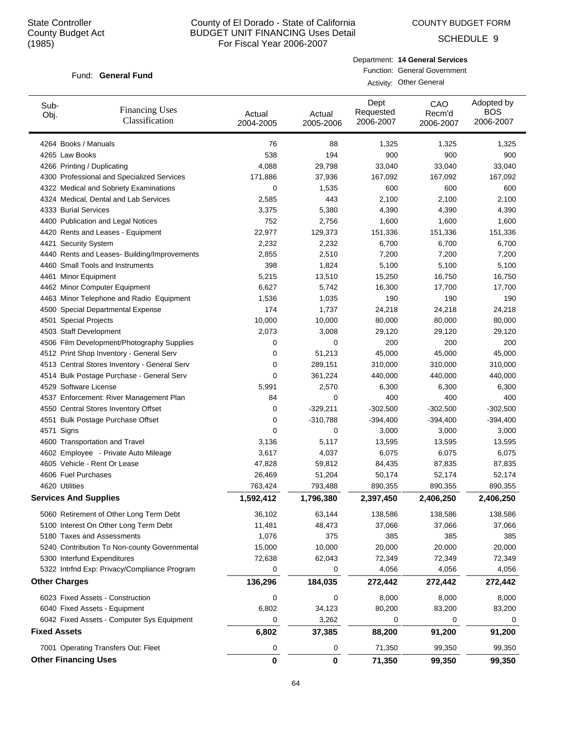COUNTY BUDGET FORM

SCHEDULE 9

### Fund: General Fund

Department: **14 General Services** Function: General Government Activity: Other General

| Sub-<br>Obj.        | <b>Financing Uses</b><br>Classification      | Actual<br>2004-2005 | Actual<br>2005-2006 | Dept<br>Requested<br>2006-2007 | CAO<br>Recm'd<br>2006-2007 | Adopted by<br><b>BOS</b><br>2006-2007 |
|---------------------|----------------------------------------------|---------------------|---------------------|--------------------------------|----------------------------|---------------------------------------|
|                     | 4264 Books / Manuals                         | 76                  | 88                  | 1,325                          | 1,325                      | 1,325                                 |
|                     | 4265 Law Books                               | 538                 | 194                 | 900                            | 900                        | 900                                   |
|                     | 4266 Printing / Duplicating                  | 4,088               | 29,798              | 33,040                         | 33,040                     | 33,040                                |
|                     | 4300 Professional and Specialized Services   | 171,886             | 37,936              | 167,092                        | 167,092                    | 167,092                               |
|                     | 4322 Medical and Sobriety Examinations       | 0                   | 1,535               | 600                            | 600                        | 600                                   |
|                     | 4324 Medical, Dental and Lab Services        | 2,585               | 443                 | 2,100                          | 2,100                      | 2,100                                 |
|                     | 4333 Burial Services                         | 3,375               | 5,380               | 4,390                          | 4,390                      | 4,390                                 |
|                     | 4400 Publication and Legal Notices           | 752                 | 2,756               | 1,600                          | 1,600                      | 1,600                                 |
|                     | 4420 Rents and Leases - Equipment            | 22,977              | 129,373             | 151,336                        | 151,336                    | 151,336                               |
|                     | 4421 Security System                         | 2,232               | 2,232               | 6,700                          | 6,700                      | 6,700                                 |
|                     | 4440 Rents and Leases- Building/Improvements | 2,855               | 2,510               | 7,200                          | 7,200                      | 7,200                                 |
|                     | 4460 Small Tools and Instruments             | 398                 | 1,824               | 5,100                          | 5,100                      | 5,100                                 |
|                     | 4461 Minor Equipment                         | 5,215               | 13,510              | 15,250                         | 16,750                     | 16,750                                |
|                     | 4462 Minor Computer Equipment                | 6,627               | 5,742               | 16,300                         | 17,700                     | 17,700                                |
|                     | 4463 Minor Telephone and Radio Equipment     | 1,536               | 1,035               | 190                            | 190                        | 190                                   |
|                     | 4500 Special Departmental Expense            | 174                 | 1,737               | 24,218                         | 24,218                     | 24,218                                |
|                     | 4501 Special Projects                        | 10,000              | 10,000              | 80,000                         | 80,000                     | 80,000                                |
|                     | 4503 Staff Development                       | 2,073               | 3,008               | 29,120                         | 29,120                     | 29,120                                |
|                     | 4506 Film Development/Photography Supplies   | 0                   | 0                   | 200                            | 200                        | 200                                   |
|                     | 4512 Print Shop Inventory - General Serv     | 0                   | 51,213              | 45,000                         | 45,000                     | 45,000                                |
|                     | 4513 Central Stores Inventory - General Serv | 0                   | 289,151             | 310,000                        | 310,000                    | 310,000                               |
|                     | 4514 Bulk Postage Purchase - General Serv    | 0                   | 361,224             | 440,000                        | 440,000                    | 440,000                               |
|                     | 4529 Software License                        | 5,991               | 2,570               | 6,300                          | 6,300                      | 6,300                                 |
|                     | 4537 Enforcement: River Management Plan      | 84                  | 0                   | 400                            | 400                        | 400                                   |
|                     | 4550 Central Stores Inventory Offset         | 0                   | $-329,211$          | $-302,500$                     | $-302,500$                 | $-302,500$                            |
|                     | 4551 Bulk Postage Purchase Offset            | 0                   | $-310,788$          | $-394,400$                     | $-394,400$                 | $-394,400$                            |
| 4571                | Signs                                        | 0                   | 0                   | 3,000                          | 3,000                      | 3,000                                 |
|                     | 4600 Transportation and Travel               | 3,136               | 5,117               | 13,595                         | 13,595                     | 13,595                                |
|                     | 4602 Employee - Private Auto Mileage         | 3,617               | 4,037               | 6,075                          | 6,075                      | 6,075                                 |
|                     | 4605 Vehicle - Rent Or Lease                 | 47,828              | 59,812              | 84,435                         | 87,835                     | 87,835                                |
|                     | 4606 Fuel Purchases                          | 26,469              | 51,204              | 50,174                         | 52,174                     | 52,174                                |
|                     | 4620 Utilities                               | 763,424             | 793,488             | 890,355                        | 890,355                    | 890,355                               |
|                     | <b>Services And Supplies</b>                 | 1,592,412           | 1,796,380           | 2,397,450                      | 2,406,250                  | 2,406,250                             |
|                     | 5060 Retirement of Other Long Term Debt      | 36,102              | 63,144              | 138,586                        | 138,586                    | 138,586                               |
|                     | 5100 Interest On Other Long Term Debt        | 11,481              | 48,473              | 37,066                         | 37,066                     | 37,066                                |
|                     | 5180 Taxes and Assessments                   | 1,076               | 375                 | 385                            | 385                        | 385                                   |
|                     | 5240 Contribution To Non-county Governmental | 15,000              | 10,000              | 20,000                         | 20,000                     | 20,000                                |
|                     | 5300 Interfund Expenditures                  | 72,638              | 62,043              | 72,349                         | 72,349                     | 72,349                                |
|                     | 5322 Intrfnd Exp: Privacy/Compliance Program | $\mathbf 0$         | 0                   | 4,056                          | 4,056                      | 4,056                                 |
|                     | <b>Other Charges</b>                         | 136,296             | 184,035             | 272,442                        | 272,442                    | 272,442                               |
|                     | 6023 Fixed Assets - Construction             | 0                   | 0                   | 8,000                          | 8,000                      | 8,000                                 |
|                     | 6040 Fixed Assets - Equipment                | 6,802               | 34,123              | 80,200                         | 83,200                     | 83,200                                |
|                     | 6042 Fixed Assets - Computer Sys Equipment   | 0                   | 3,262               | 0                              | 0                          | 0                                     |
| <b>Fixed Assets</b> |                                              | 6,802               | 37,385              | 88,200                         | 91,200                     | 91,200                                |
|                     | 7001 Operating Transfers Out: Fleet          | 0                   | 0                   | 71,350                         | 99,350                     | 99,350                                |
|                     | <b>Other Financing Uses</b>                  | 0                   | 0                   | 71,350                         | 99,350                     | 99,350                                |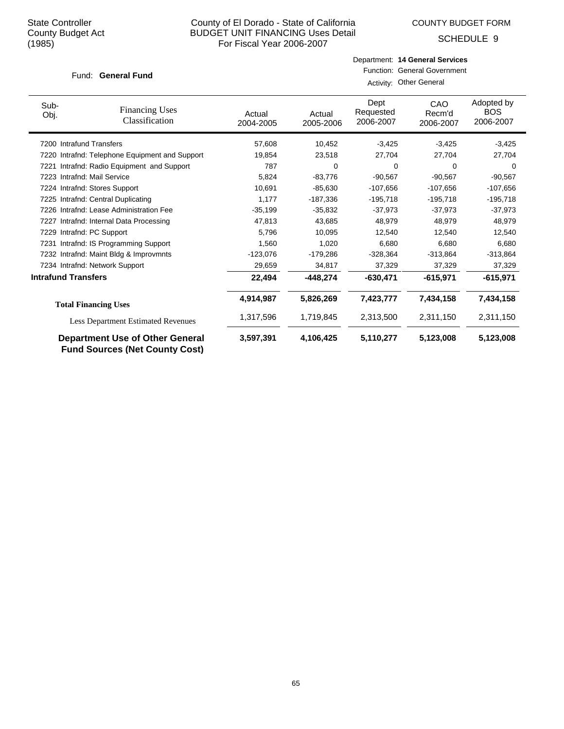COUNTY BUDGET FORM

SCHEDULE 9

### Fund: General Fund

| Sub-<br>Obj.               | <b>Financing Uses</b><br>Classification                                         | Actual<br>2004-2005 | Actual<br>2005-2006 | Dept<br>Requested<br>2006-2007 | CAO<br>Recm'd<br>2006-2007 | Adopted by<br><b>BOS</b><br>2006-2007 |
|----------------------------|---------------------------------------------------------------------------------|---------------------|---------------------|--------------------------------|----------------------------|---------------------------------------|
|                            | 7200 Intrafund Transfers                                                        | 57,608              | 10,452              | $-3,425$                       | $-3,425$                   | $-3,425$                              |
|                            | 7220 Intrafnd: Telephone Equipment and Support                                  | 19,854              | 23,518              | 27,704                         | 27,704                     | 27,704                                |
| 7221                       | Intrafnd: Radio Equipment and Support                                           | 787                 | 0                   | 0                              | 0                          | 0                                     |
| 7223                       | Intrafnd: Mail Service                                                          | 5,824               | $-83.776$           | $-90,567$                      | $-90.567$                  | $-90,567$                             |
|                            | 7224 Intrafnd: Stores Support                                                   | 10,691              | $-85,630$           | $-107,656$                     | $-107,656$                 | $-107,656$                            |
|                            | 7225 Intrafnd: Central Duplicating                                              | 1,177               | $-187,336$          | $-195,718$                     | $-195,718$                 | $-195,718$                            |
|                            | 7226 Intrafnd: Lease Administration Fee                                         | $-35,199$           | $-35,832$           | $-37,973$                      | $-37,973$                  | $-37,973$                             |
|                            | 7227 Intrafnd: Internal Data Processing                                         | 47,813              | 43,685              | 48,979                         | 48,979                     | 48,979                                |
|                            | 7229 Intrafnd: PC Support                                                       | 5,796               | 10,095              | 12,540                         | 12,540                     | 12,540                                |
| 7231                       | Intrafnd: IS Programming Support                                                | 1,560               | 1,020               | 6,680                          | 6,680                      | 6,680                                 |
|                            | 7232 Intrafnd: Maint Bldg & Improvmnts                                          | $-123,076$          | $-179,286$          | $-328,364$                     | $-313,864$                 | $-313,864$                            |
|                            | 7234 Intrafnd: Network Support                                                  | 29,659              | 34,817              | 37,329                         | 37,329                     | 37,329                                |
| <b>Intrafund Transfers</b> |                                                                                 | 22,494              | $-448,274$          | $-630,471$                     | $-615,971$                 | $-615,971$                            |
|                            | <b>Total Financing Uses</b>                                                     | 4,914,987           | 5,826,269           | 7,423,777                      | 7,434,158                  | 7,434,158                             |
|                            | <b>Less Department Estimated Revenues</b>                                       | 1,317,596           | 1,719,845           | 2,313,500                      | 2,311,150                  | 2,311,150                             |
|                            | <b>Department Use of Other General</b><br><b>Fund Sources (Net County Cost)</b> | 3,597,391           | 4,106,425           | 5,110,277                      | 5,123,008                  | 5,123,008                             |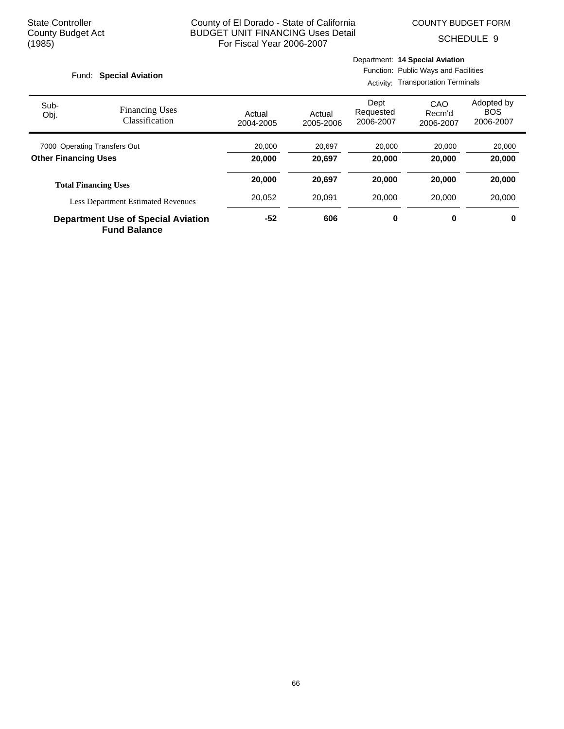COUNTY BUDGET FORM

SCHEDULE 9

#### Fund: Special Aviation

Activity: Transportation Terminals

| Sub-<br>Obj.                 | <b>Financing Uses</b><br>Classification   | Actual<br>2004-2005 | Actual<br>2005-2006 | Dept<br>Requested<br>2006-2007 | CAO<br>Recm'd<br>2006-2007 | Adopted by<br><b>BOS</b><br>2006-2007 |
|------------------------------|-------------------------------------------|---------------------|---------------------|--------------------------------|----------------------------|---------------------------------------|
| 7000 Operating Transfers Out |                                           | 20,000              | 20.697              | 20,000                         | 20,000                     | 20,000                                |
| <b>Other Financing Uses</b>  |                                           | 20,000              | 20,697              | 20,000<br>20,000               |                            | 20,000                                |
|                              | <b>Total Financing Uses</b>               | 20,000              | 20,697              | 20,000                         | 20,000                     | 20,000                                |
|                              | <b>Less Department Estimated Revenues</b> | 20.052              | 20.091              | 20,000                         | 20,000                     | 20,000                                |
|                              | <b>Department Use of Special Aviation</b> | -52                 | 606                 | 0                              | 0                          | 0                                     |

**Fund Balance**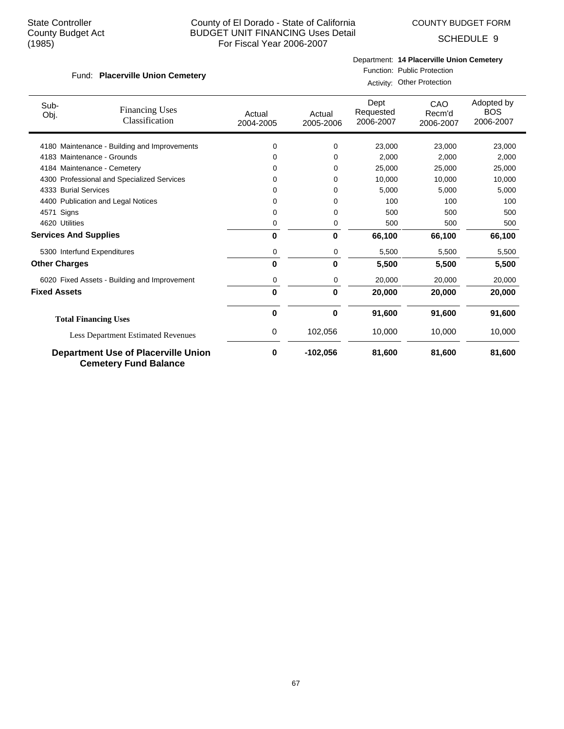COUNTY BUDGET FORM

SCHEDULE 9

### Fund: Placerville Union Cemetery

Department: **14 Placerville Union Cemetery**

Function: Public Protection Activity: Other Protection

| Sub-<br>Obj.         | <b>Financing Uses</b><br>Classification                                    | Actual<br>2004-2005 | Actual<br>2005-2006 | Dept<br>Requested<br>2006-2007 | CAO<br>Recm'd<br>2006-2007 | Adopted by<br><b>BOS</b><br>2006-2007 |
|----------------------|----------------------------------------------------------------------------|---------------------|---------------------|--------------------------------|----------------------------|---------------------------------------|
|                      | 4180 Maintenance - Building and Improvements                               | 0                   | 0                   | 23,000                         | 23,000                     | 23,000                                |
|                      | 4183 Maintenance - Grounds                                                 | 0                   | 0                   | 2.000                          | 2,000                      | 2,000                                 |
|                      | 4184 Maintenance - Cemetery                                                | 0                   | 0                   | 25.000                         | 25.000                     | 25,000                                |
|                      | 4300 Professional and Specialized Services                                 | 0                   | 0                   | 10,000                         | 10,000                     | 10,000                                |
|                      | 4333 Burial Services                                                       | 0                   | 0                   | 5,000                          | 5,000                      | 5,000                                 |
|                      | 4400 Publication and Legal Notices                                         | 0                   | 0                   | 100                            | 100                        | 100                                   |
| 4571                 | Signs                                                                      | 0                   | 0                   | 500                            | 500                        | 500                                   |
| 4620 Utilities       |                                                                            | 0                   | 0                   | 500                            | 500                        | 500                                   |
|                      | <b>Services And Supplies</b>                                               | $\bf{0}$            | 0                   | 66,100                         | 66,100                     | 66,100                                |
|                      | 5300 Interfund Expenditures                                                | 0                   | 0                   | 5,500                          | 5,500                      | 5,500                                 |
| <b>Other Charges</b> |                                                                            | $\bf{0}$            | 0                   | 5,500                          | 5,500                      | 5,500                                 |
|                      | 6020 Fixed Assets - Building and Improvement                               | 0                   | 0                   | 20,000                         | 20,000                     | 20,000                                |
| <b>Fixed Assets</b>  |                                                                            | $\mathbf{0}$        | 0                   | 20,000                         | 20,000                     | 20,000                                |
|                      | <b>Total Financing Uses</b>                                                | 0                   | 0                   | 91,600                         | 91,600                     | 91,600                                |
|                      | <b>Less Department Estimated Revenues</b>                                  | 0                   | 102,056             | 10,000                         | 10,000                     | 10,000                                |
|                      | <b>Department Use of Placerville Union</b><br><b>Cemetery Fund Balance</b> | 0                   | $-102,056$          | 81,600                         | 81,600                     | 81,600                                |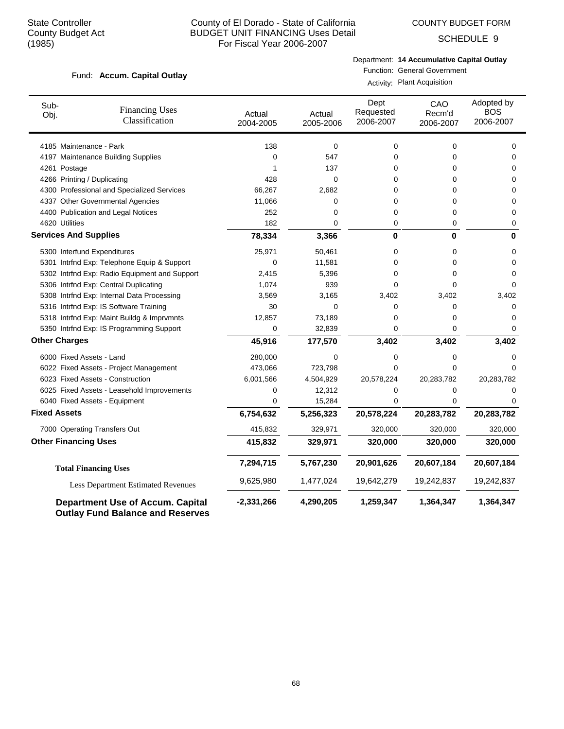COUNTY BUDGET FORM

SCHEDULE 9

#### Fund: Accum. Capital Outlay

Department: **14 Accumulative Capital Outlay**

Function: General Government Activity: Plant Acquisition

| Sub-<br>Obj.        | <b>Financing Uses</b><br>Classification                                            | Actual<br>2004-2005 | Actual<br>2005-2006 | Dept<br>Requested<br>2006-2007 | CAO<br>Recm'd<br>2006-2007 | Adopted by<br><b>BOS</b><br>2006-2007 |
|---------------------|------------------------------------------------------------------------------------|---------------------|---------------------|--------------------------------|----------------------------|---------------------------------------|
|                     | 4185 Maintenance - Park                                                            | 138                 | 0                   | $\mathbf 0$                    | 0                          | $\mathbf 0$                           |
|                     | 4197 Maintenance Building Supplies                                                 | 0                   | 547                 | 0                              | 0                          | $\Omega$                              |
|                     | 4261 Postage                                                                       | 1                   | 137                 | 0                              | 0                          | 0                                     |
|                     | 4266 Printing / Duplicating                                                        | 428                 | 0                   | 0                              | 0                          | $\Omega$                              |
|                     | 4300 Professional and Specialized Services                                         | 66,267              | 2,682               | 0                              | 0                          | 0                                     |
|                     | 4337 Other Governmental Agencies                                                   | 11,066              | 0                   | 0                              | 0                          | $\Omega$                              |
|                     | 4400 Publication and Legal Notices                                                 | 252                 | 0                   | 0                              | 0                          | $\Omega$                              |
|                     | 4620 Utilities                                                                     | 182                 | 0                   | 0                              | 0                          | 0                                     |
|                     | <b>Services And Supplies</b>                                                       | 78,334              | 3,366               | $\bf{0}$                       | $\bf{0}$                   | 0                                     |
|                     | 5300 Interfund Expenditures                                                        | 25,971              | 50,461              | 0                              | 0                          | 0                                     |
|                     | 5301 Intrfnd Exp: Telephone Equip & Support                                        | 0                   | 11,581              | 0                              | 0                          | $\mathbf 0$                           |
|                     | 5302 Intrfnd Exp: Radio Equipment and Support                                      | 2,415               | 5,396               | 0                              | 0                          | $\mathbf 0$                           |
|                     | 5306 Intrfnd Exp: Central Duplicating                                              | 1,074               | 939                 | 0                              | 0                          | $\Omega$                              |
|                     | 5308 Intrfnd Exp: Internal Data Processing                                         | 3,569               | 3,165               | 3,402                          | 3,402                      | 3,402                                 |
|                     | 5316 Intrfnd Exp: IS Software Training                                             | 30                  | 0                   | 0                              | 0                          | $\mathbf 0$                           |
|                     | 5318 Intrfnd Exp: Maint Buildg & Imprvmnts                                         | 12,857              | 73,189              | 0                              | 0                          | $\Omega$                              |
|                     | 5350 Intrfnd Exp: IS Programming Support                                           | 0                   | 32,839              | 0                              | 0                          | 0                                     |
|                     | <b>Other Charges</b>                                                               | 45,916              | 177,570             | 3,402                          | 3,402                      | 3,402                                 |
|                     | 6000 Fixed Assets - Land                                                           | 280,000             | 0                   | 0                              | 0                          | $\mathbf 0$                           |
|                     | 6022 Fixed Assets - Project Management                                             | 473,066             | 723,798             | 0                              | 0                          | $\Omega$                              |
|                     | 6023 Fixed Assets - Construction                                                   | 6,001,566           | 4,504,929           | 20,578,224                     | 20,283,782                 | 20,283,782                            |
|                     | 6025 Fixed Assets - Leasehold Improvements                                         | 0                   | 12,312              | 0                              | 0                          | $\Omega$                              |
|                     | 6040 Fixed Assets - Equipment                                                      | $\Omega$            | 15,284              | 0                              | $\Omega$                   | $\Omega$                              |
| <b>Fixed Assets</b> |                                                                                    | 6,754,632           | 5,256,323           | 20,578,224                     | 20,283,782                 | 20,283,782                            |
|                     | 7000 Operating Transfers Out                                                       | 415,832             | 329,971             | 320,000                        | 320,000                    | 320,000                               |
|                     | <b>Other Financing Uses</b>                                                        | 415,832             | 329,971             | 320,000                        | 320,000                    | 320,000                               |
|                     | <b>Total Financing Uses</b>                                                        | 7,294,715           | 5,767,230           | 20,901,626                     | 20,607,184                 | 20,607,184                            |
|                     | <b>Less Department Estimated Revenues</b>                                          | 9,625,980           | 1,477,024           | 19,642,279                     | 19,242,837                 | 19,242,837                            |
|                     | <b>Department Use of Accum. Capital</b><br><b>Outlay Fund Balance and Reserves</b> | $-2,331,266$        | 4,290,205           | 1,259,347                      | 1,364,347                  | 1,364,347                             |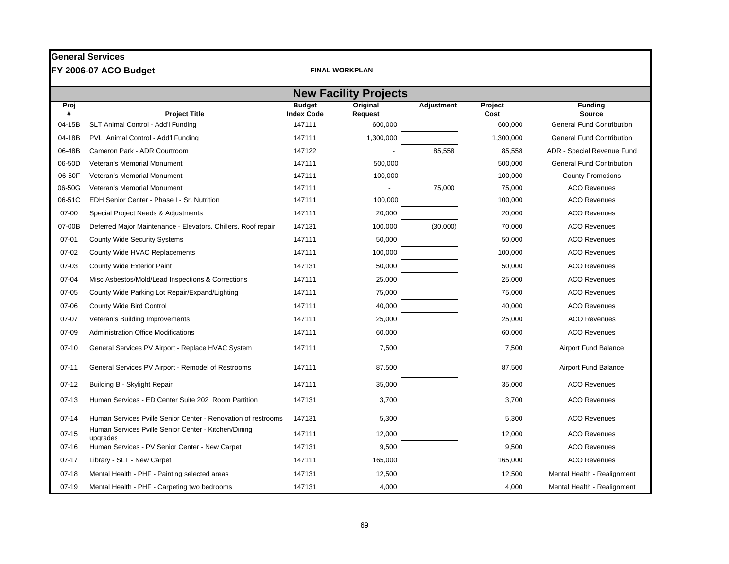|           | <b>General Services</b>                                          |                                    |                       |            |                 |                                  |  |
|-----------|------------------------------------------------------------------|------------------------------------|-----------------------|------------|-----------------|----------------------------------|--|
|           | FY 2006-07 ACO Budget                                            |                                    | <b>FINAL WORKPLAN</b> |            |                 |                                  |  |
|           | <b>New Facility Projects</b>                                     |                                    |                       |            |                 |                                  |  |
| Proj<br># | <b>Project Title</b>                                             | <b>Budget</b><br><b>Index Code</b> | Original<br>Request   | Adjustment | Project<br>Cost | <b>Funding</b><br>Source         |  |
| 04-15B    | SLT Animal Control - Add'l Funding                               | 147111                             | 600,000               |            | 600,000         | <b>General Fund Contribution</b> |  |
| 04-18B    | PVL Animal Control - Add'l Funding                               | 147111                             | 1,300,000             |            | 1,300,000       | <b>General Fund Contribution</b> |  |
| 06-48B    | Cameron Park - ADR Courtroom                                     | 147122                             |                       | 85,558     | 85,558          | ADR - Special Revenue Fund       |  |
| 06-50D    | Veteran's Memorial Monument                                      | 147111                             | 500,000               |            | 500,000         | <b>General Fund Contribution</b> |  |
| 06-50F    | Veteran's Memorial Monument                                      | 147111                             | 100,000               |            | 100,000         | <b>County Promotions</b>         |  |
| 06-50G    | Veteran's Memorial Monument                                      | 147111                             |                       | 75,000     | 75,000          | <b>ACO Revenues</b>              |  |
| 06-51C    | EDH Senior Center - Phase I - Sr. Nutrition                      | 147111                             | 100,000               |            | 100,000         | <b>ACO Revenues</b>              |  |
| 07-00     | Special Project Needs & Adjustments                              | 147111                             | 20,000                |            | 20,000          | <b>ACO Revenues</b>              |  |
| 07-00B    | Deferred Major Maintenance - Elevators, Chillers, Roof repair    | 147131                             | 100,000               | (30,000)   | 70,000          | <b>ACO Revenues</b>              |  |
| $07 - 01$ | <b>County Wide Security Systems</b>                              | 147111                             | 50,000                |            | 50,000          | <b>ACO Revenues</b>              |  |
| $07 - 02$ | County Wide HVAC Replacements                                    | 147111                             | 100,000               |            | 100,000         | <b>ACO Revenues</b>              |  |
| 07-03     | County Wide Exterior Paint                                       | 147131                             | 50,000                |            | 50,000          | <b>ACO Revenues</b>              |  |
| 07-04     | Misc Asbestos/Mold/Lead Inspections & Corrections                | 147111                             | 25,000                |            | 25,000          | <b>ACO Revenues</b>              |  |
| $07 - 05$ | County Wide Parking Lot Repair/Expand/Lighting                   | 147111                             | 75,000                |            | 75,000          | <b>ACO Revenues</b>              |  |
| 07-06     | County Wide Bird Control                                         | 147111                             | 40,000                |            | 40,000          | <b>ACO Revenues</b>              |  |
| 07-07     | Veteran's Building Improvements                                  | 147111                             | 25,000                |            | 25,000          | <b>ACO Revenues</b>              |  |
| 07-09     | <b>Administration Office Modifications</b>                       | 147111                             | 60,000                |            | 60,000          | <b>ACO Revenues</b>              |  |
| $07 - 10$ | General Services PV Airport - Replace HVAC System                | 147111                             | 7,500                 |            | 7,500           | <b>Airport Fund Balance</b>      |  |
| $07 - 11$ | General Services PV Airport - Remodel of Restrooms               | 147111                             | 87,500                |            | 87,500          | <b>Airport Fund Balance</b>      |  |
| $07-12$   | Building B - Skylight Repair                                     | 147111                             | 35,000                |            | 35,000          | <b>ACO Revenues</b>              |  |
| $07-13$   | Human Services - ED Center Suite 202 Room Partition              | 147131                             | 3,700                 |            | 3.700           | <b>ACO Revenues</b>              |  |
| $07 - 14$ | Human Services Pville Senior Center - Renovation of restrooms    | 147131                             | 5,300                 |            | 5,300           | <b>ACO Revenues</b>              |  |
| $07 - 15$ | Human Services Pville Senior Center - Kitchen/Dining<br>upgrades | 147111                             | 12,000                |            | 12,000          | <b>ACO Revenues</b>              |  |
| $07 - 16$ | Human Services - PV Senior Center - New Carpet                   | 147131                             | 9,500                 |            | 9,500           | <b>ACO Revenues</b>              |  |
| $07 - 17$ | Library - SLT - New Carpet                                       | 147111                             | 165,000               |            | 165,000         | <b>ACO Revenues</b>              |  |
| $07-18$   | Mental Health - PHF - Painting selected areas                    | 147131                             | 12,500                |            | 12,500          | Mental Health - Realignment      |  |
| $07-19$   | Mental Health - PHF - Carpeting two bedrooms                     | 147131                             | 4,000                 |            | 4,000           | Mental Health - Realignment      |  |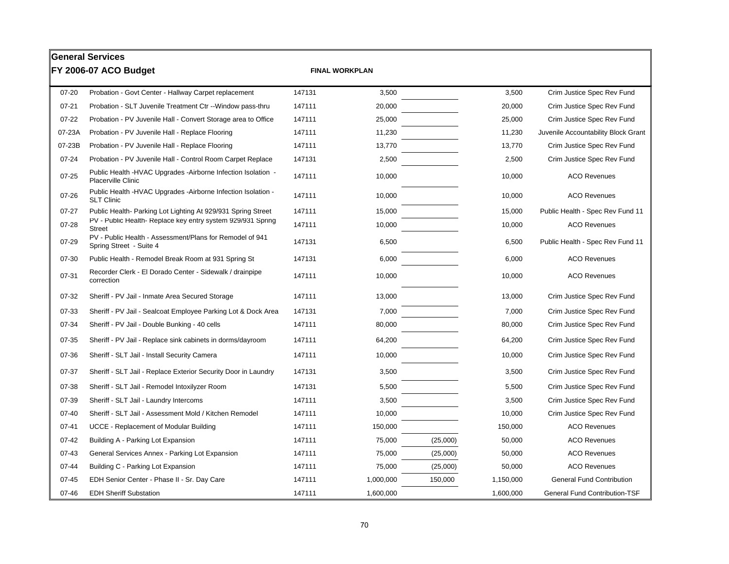|           | <b>General Services</b>                                                                   |        |                       |          |           |                                      |
|-----------|-------------------------------------------------------------------------------------------|--------|-----------------------|----------|-----------|--------------------------------------|
|           | FY 2006-07 ACO Budget                                                                     |        | <b>FINAL WORKPLAN</b> |          |           |                                      |
| 07-20     | Probation - Govt Center - Hallway Carpet replacement                                      | 147131 | 3,500                 |          | 3,500     | Crim Justice Spec Rev Fund           |
| $07 - 21$ | Probation - SLT Juvenile Treatment Ctr -- Window pass-thru                                | 147111 | 20,000                |          | 20,000    | Crim Justice Spec Rev Fund           |
| $07 - 22$ | Probation - PV Juvenile Hall - Convert Storage area to Office                             | 147111 | 25,000                |          | 25,000    | Crim Justice Spec Rev Fund           |
| 07-23A    | Probation - PV Juvenile Hall - Replace Flooring                                           | 147111 | 11,230                |          | 11,230    | Juvenile Accountability Block Grant  |
| 07-23B    | Probation - PV Juvenile Hall - Replace Flooring                                           | 147111 | 13,770                |          | 13,770    | Crim Justice Spec Rev Fund           |
| $07 - 24$ | Probation - PV Juvenile Hall - Control Room Carpet Replace                                | 147131 | 2,500                 |          | 2,500     | Crim Justice Spec Rev Fund           |
| $07 - 25$ | Public Health -HVAC Upgrades -Airborne Infection Isolation -<br><b>Placerville Clinic</b> | 147111 | 10,000                |          | 10,000    | <b>ACO Revenues</b>                  |
| $07 - 26$ | Public Health -HVAC Upgrades -Airborne Infection Isolation -<br><b>SLT Clinic</b>         | 147111 | 10,000                |          | 10,000    | <b>ACO Revenues</b>                  |
| $07 - 27$ | Public Health- Parking Lot Lighting At 929/931 Spring Street                              | 147111 | 15,000                |          | 15,000    | Public Health - Spec Rev Fund 11     |
| 07-28     | PV - Public Health- Replace key entry system 929/931 Spring<br>Street                     | 147111 | 10,000                |          | 10,000    | <b>ACO Revenues</b>                  |
| 07-29     | PV - Public Health - Assessment/Plans for Remodel of 941<br>Spring Street - Suite 4       | 147131 | 6,500                 |          | 6,500     | Public Health - Spec Rev Fund 11     |
| 07-30     | Public Health - Remodel Break Room at 931 Spring St                                       | 147131 | 6,000                 |          | 6,000     | <b>ACO Revenues</b>                  |
| 07-31     | Recorder Clerk - El Dorado Center - Sidewalk / drainpipe<br>correction                    | 147111 | 10,000                |          | 10,000    | <b>ACO Revenues</b>                  |
| 07-32     | Sheriff - PV Jail - Inmate Area Secured Storage                                           | 147111 | 13,000                |          | 13,000    | Crim Justice Spec Rev Fund           |
| 07-33     | Sheriff - PV Jail - Sealcoat Employee Parking Lot & Dock Area                             | 147131 | 7,000                 |          | 7,000     | Crim Justice Spec Rev Fund           |
| 07-34     | Sheriff - PV Jail - Double Bunking - 40 cells                                             | 147111 | 80,000                |          | 80,000    | Crim Justice Spec Rev Fund           |
| 07-35     | Sheriff - PV Jail - Replace sink cabinets in dorms/dayroom                                | 147111 | 64,200                |          | 64,200    | Crim Justice Spec Rev Fund           |
| 07-36     | Sheriff - SLT Jail - Install Security Camera                                              | 147111 | 10,000                |          | 10,000    | Crim Justice Spec Rev Fund           |
| 07-37     | Sheriff - SLT Jail - Replace Exterior Security Door in Laundry                            | 147131 | 3,500                 |          | 3,500     | Crim Justice Spec Rev Fund           |
| 07-38     | Sheriff - SLT Jail - Remodel Intoxilyzer Room                                             | 147131 | 5,500                 |          | 5,500     | Crim Justice Spec Rev Fund           |
| 07-39     | Sheriff - SLT Jail - Laundry Intercoms                                                    | 147111 | 3,500                 |          | 3,500     | Crim Justice Spec Rev Fund           |
| $07 - 40$ | Sheriff - SLT Jail - Assessment Mold / Kitchen Remodel                                    | 147111 | 10,000                |          | 10,000    | Crim Justice Spec Rev Fund           |
| $07 - 41$ | <b>UCCE - Replacement of Modular Building</b>                                             | 147111 | 150,000               |          | 150,000   | <b>ACO Revenues</b>                  |
| $07 - 42$ | Building A - Parking Lot Expansion                                                        | 147111 | 75,000                | (25,000) | 50,000    | <b>ACO Revenues</b>                  |
| $07 - 43$ | General Services Annex - Parking Lot Expansion                                            | 147111 | 75,000                | (25,000) | 50,000    | <b>ACO Revenues</b>                  |
| $07 - 44$ | Building C - Parking Lot Expansion                                                        | 147111 | 75,000                | (25,000) | 50,000    | <b>ACO Revenues</b>                  |
| $07 - 45$ | EDH Senior Center - Phase II - Sr. Day Care                                               | 147111 | 1,000,000             | 150,000  | 1,150,000 | <b>General Fund Contribution</b>     |
| $07 - 46$ | <b>EDH Sheriff Substation</b>                                                             | 147111 | 1,600,000             |          | 1,600,000 | <b>General Fund Contribution-TSF</b> |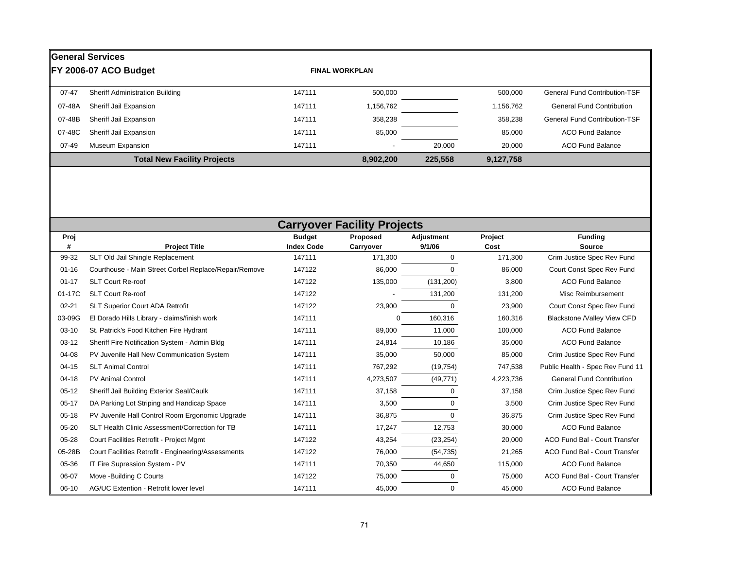|           | <b>General Services</b>                |        |                          |         |           |                                      |
|-----------|----------------------------------------|--------|--------------------------|---------|-----------|--------------------------------------|
|           | FY 2006-07 ACO Budget                  |        | <b>FINAL WORKPLAN</b>    |         |           |                                      |
| $07 - 47$ | <b>Sheriff Administration Building</b> | 147111 | 500,000                  |         | 500,000   | <b>General Fund Contribution-TSF</b> |
| 07-48A    | Sheriff Jail Expansion                 | 147111 | 1,156,762                |         | 1,156,762 | <b>General Fund Contribution</b>     |
| 07-48B    | Sheriff Jail Expansion                 | 147111 | 358,238                  |         | 358,238   | <b>General Fund Contribution-TSF</b> |
| 07-48C    | Sheriff Jail Expansion                 | 147111 | 85,000                   |         | 85,000    | <b>ACO Fund Balance</b>              |
| 07-49     | Museum Expansion                       | 147111 | $\overline{\phantom{a}}$ | 20.000  | 20,000    | <b>ACO Fund Balance</b>              |
|           | <b>Total New Facility Projects</b>     |        | 8,902,200                | 225,558 | 9,127,758 |                                      |

|           | <b>Carryover Facility Projects</b>                    |                   |           |             |           |                                      |  |  |  |  |
|-----------|-------------------------------------------------------|-------------------|-----------|-------------|-----------|--------------------------------------|--|--|--|--|
| Proj      |                                                       | <b>Budget</b>     | Proposed  | Adjustment  | Project   | <b>Funding</b>                       |  |  |  |  |
| #         | <b>Project Title</b>                                  | <b>Index Code</b> | Carryover | 9/1/06      | Cost      | <b>Source</b>                        |  |  |  |  |
| 99-32     | SLT Old Jail Shingle Replacement                      | 147111            | 171,300   | 0           | 171,300   | Crim Justice Spec Rev Fund           |  |  |  |  |
| $01 - 16$ | Courthouse - Main Street Corbel Replace/Repair/Remove | 147122            | 86,000    | 0           | 86,000    | Court Const Spec Rev Fund            |  |  |  |  |
| $01 - 17$ | <b>SLT Court Re-roof</b>                              | 147122            | 135,000   | (131, 200)  | 3,800     | <b>ACO Fund Balance</b>              |  |  |  |  |
| 01-17C    | <b>SLT Court Re-roof</b>                              | 147122            |           | 131,200     | 131,200   | Misc Reimbursement                   |  |  |  |  |
| $02 - 21$ | SLT Superior Court ADA Retrofit                       | 147122            | 23,900    | 0           | 23,900    | Court Const Spec Rev Fund            |  |  |  |  |
| 03-09G    | El Dorado Hills Library - claims/finish work          | 147111            | 0         | 160,316     | 160,316   | Blackstone /Valley View CFD          |  |  |  |  |
| $03-10$   | St. Patrick's Food Kitchen Fire Hydrant               | 147111            | 89,000    | 11,000      | 100,000   | <b>ACO Fund Balance</b>              |  |  |  |  |
| $03-12$   | Sheriff Fire Notification System - Admin Bldg         | 147111            | 24,814    | 10,186      | 35,000    | <b>ACO Fund Balance</b>              |  |  |  |  |
| 04-08     | PV Juvenile Hall New Communication System             | 147111            | 35,000    | 50,000      | 85,000    | Crim Justice Spec Rev Fund           |  |  |  |  |
| $04 - 15$ | <b>SLT Animal Control</b>                             | 147111            | 767,292   | (19, 754)   | 747,538   | Public Health - Spec Rev Fund 11     |  |  |  |  |
| $04-18$   | <b>PV Animal Control</b>                              | 147111            | 4,273,507 | (49, 771)   | 4,223,736 | <b>General Fund Contribution</b>     |  |  |  |  |
| $05-12$   | Sheriff Jail Building Exterior Seal/Caulk             | 147111            | 37,158    | 0           | 37,158    | Crim Justice Spec Rev Fund           |  |  |  |  |
| $05-17$   | DA Parking Lot Striping and Handicap Space            | 147111            | 3,500     | 0           | 3,500     | Crim Justice Spec Rev Fund           |  |  |  |  |
| $05-18$   | PV Juvenile Hall Control Room Ergonomic Upgrade       | 147111            | 36,875    | $\mathbf 0$ | 36,875    | Crim Justice Spec Rev Fund           |  |  |  |  |
| 05-20     | SLT Health Clinic Assessment/Correction for TB        | 147111            | 17,247    | 12,753      | 30,000    | <b>ACO Fund Balance</b>              |  |  |  |  |
| 05-28     | Court Facilities Retrofit - Project Mgmt              | 147122            | 43,254    | (23, 254)   | 20,000    | <b>ACO Fund Bal - Court Transfer</b> |  |  |  |  |
| 05-28B    | Court Facilities Retrofit - Engineering/Assessments   | 147122            | 76,000    | (54, 735)   | 21,265    | <b>ACO Fund Bal - Court Transfer</b> |  |  |  |  |
| 05-36     | IT Fire Supression System - PV                        | 147111            | 70,350    | 44,650      | 115,000   | <b>ACO Fund Balance</b>              |  |  |  |  |
| 06-07     | Move -Building C Courts                               | 147122            | 75,000    | 0           | 75,000    | ACO Fund Bal - Court Transfer        |  |  |  |  |
| $06-10$   | AG/UC Extention - Retrofit lower level                | 147111            | 45,000    | 0           | 45,000    | <b>ACO Fund Balance</b>              |  |  |  |  |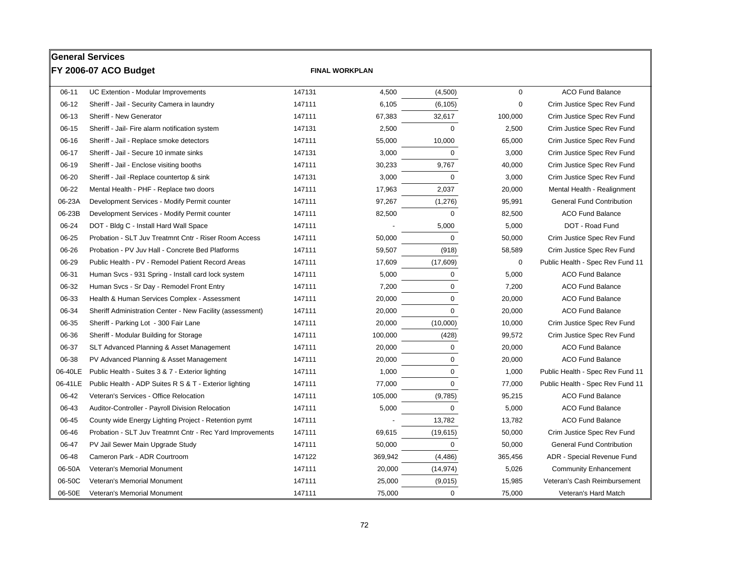|           | <b>General Services</b>                                   |        |                       |              |             |                                  |
|-----------|-----------------------------------------------------------|--------|-----------------------|--------------|-------------|----------------------------------|
|           | FY 2006-07 ACO Budget                                     |        | <b>FINAL WORKPLAN</b> |              |             |                                  |
| $06 - 11$ | UC Extention - Modular Improvements                       | 147131 | 4,500                 | (4,500)      | $\mathbf 0$ | <b>ACO Fund Balance</b>          |
| $06-12$   | Sheriff - Jail - Security Camera in laundry               | 147111 | 6,105                 | (6, 105)     | 0           | Crim Justice Spec Rev Fund       |
| 06-13     | Sheriff - New Generator                                   | 147111 | 67,383                | 32,617       | 100,000     | Crim Justice Spec Rev Fund       |
| $06-15$   | Sheriff - Jail- Fire alarm notification system            | 147131 | 2,500                 | $\mathbf 0$  | 2,500       | Crim Justice Spec Rev Fund       |
| $06-16$   | Sheriff - Jail - Replace smoke detectors                  | 147111 | 55,000                | 10,000       | 65,000      | Crim Justice Spec Rev Fund       |
| $06-17$   | Sheriff - Jail - Secure 10 inmate sinks                   | 147131 | 3,000                 | $\Omega$     | 3,000       | Crim Justice Spec Rev Fund       |
| 06-19     | Sheriff - Jail - Enclose visiting booths                  | 147111 | 30,233                | 9,767        | 40,000      | Crim Justice Spec Rev Fund       |
| 06-20     | Sheriff - Jail -Replace countertop & sink                 | 147131 | 3,000                 | $\mathbf 0$  | 3,000       | Crim Justice Spec Rev Fund       |
| 06-22     | Mental Health - PHF - Replace two doors                   | 147111 | 17,963                | 2,037        | 20,000      | Mental Health - Realignment      |
| 06-23A    | Development Services - Modify Permit counter              | 147111 | 97,267                | (1,276)      | 95,991      | <b>General Fund Contribution</b> |
| 06-23B    | Development Services - Modify Permit counter              | 147111 | 82,500                | $\Omega$     | 82,500      | <b>ACO Fund Balance</b>          |
| 06-24     | DOT - Bldg C - Install Hard Wall Space                    | 147111 |                       | 5,000        | 5,000       | DOT - Road Fund                  |
| 06-25     | Probation - SLT Juv Treatmnt Cntr - Riser Room Access     | 147111 | 50,000                | $\Omega$     | 50,000      | Crim Justice Spec Rev Fund       |
| 06-26     | Probation - PV Juv Hall - Concrete Bed Platforms          | 147111 | 59,507                | (918)        | 58,589      | Crim Justice Spec Rev Fund       |
| 06-29     | Public Health - PV - Remodel Patient Record Areas         | 147111 | 17,609                | (17,609)     | $\mathbf 0$ | Public Health - Spec Rev Fund 11 |
| 06-31     | Human Svcs - 931 Spring - Install card lock system        | 147111 | 5,000                 | $\mathbf 0$  | 5,000       | <b>ACO Fund Balance</b>          |
| 06-32     | Human Svcs - Sr Day - Remodel Front Entry                 | 147111 | 7,200                 | $\mathbf 0$  | 7,200       | <b>ACO Fund Balance</b>          |
| 06-33     | Health & Human Services Complex - Assessment              | 147111 | 20,000                | $\mathbf 0$  | 20,000      | <b>ACO Fund Balance</b>          |
| 06-34     | Sheriff Administration Center - New Facility (assessment) | 147111 | 20,000                | $\mathbf 0$  | 20,000      | <b>ACO Fund Balance</b>          |
| 06-35     | Sheriff - Parking Lot - 300 Fair Lane                     | 147111 | 20,000                | (10,000)     | 10,000      | Crim Justice Spec Rev Fund       |
| 06-36     | Sheriff - Modular Building for Storage                    | 147111 | 100,000               | (428)        | 99,572      | Crim Justice Spec Rev Fund       |
| 06-37     | SLT Advanced Planning & Asset Management                  | 147111 | 20,000                | $\mathbf 0$  | 20,000      | <b>ACO Fund Balance</b>          |
| 06-38     | PV Advanced Planning & Asset Management                   | 147111 | 20,000                | $\mathbf 0$  | 20,000      | <b>ACO Fund Balance</b>          |
| 06-40LE   | Public Health - Suites 3 & 7 - Exterior lighting          | 147111 | 1,000                 | $\mathbf 0$  | 1,000       | Public Health - Spec Rev Fund 11 |
| 06-41LE   | Public Health - ADP Suites R S & T - Exterior lighting    | 147111 | 77,000                | $\mathbf 0$  | 77,000      | Public Health - Spec Rev Fund 11 |
| 06-42     | Veteran's Services - Office Relocation                    | 147111 | 105,000               | (9,785)      | 95,215      | <b>ACO Fund Balance</b>          |
| 06-43     | Auditor-Controller - Payroll Division Relocation          | 147111 | 5,000                 | $\mathbf 0$  | 5,000       | <b>ACO Fund Balance</b>          |
| 06-45     | County wide Energy Lighting Project - Retention pymt      | 147111 |                       | 13,782       | 13,782      | <b>ACO Fund Balance</b>          |
| 06-46     | Probation - SLT Juv Treatmnt Cntr - Rec Yard Improvements | 147111 | 69,615                | (19, 615)    | 50,000      | Crim Justice Spec Rev Fund       |
| 06-47     | PV Jail Sewer Main Upgrade Study                          | 147111 | 50,000                | $\mathbf 0$  | 50,000      | <b>General Fund Contribution</b> |
| 06-48     | Cameron Park - ADR Courtroom                              | 147122 | 369,942               | (4, 486)     | 365,456     | ADR - Special Revenue Fund       |
| 06-50A    | Veteran's Memorial Monument                               | 147111 | 20,000                | (14, 974)    | 5,026       | <b>Community Enhancement</b>     |
| 06-50C    | Veteran's Memorial Monument                               | 147111 | 25,000                | (9,015)      | 15,985      | Veteran's Cash Reimbursement     |
| 06-50E    | Veteran's Memorial Monument                               | 147111 | 75,000                | $\mathbf{0}$ | 75,000      | Veteran's Hard Match             |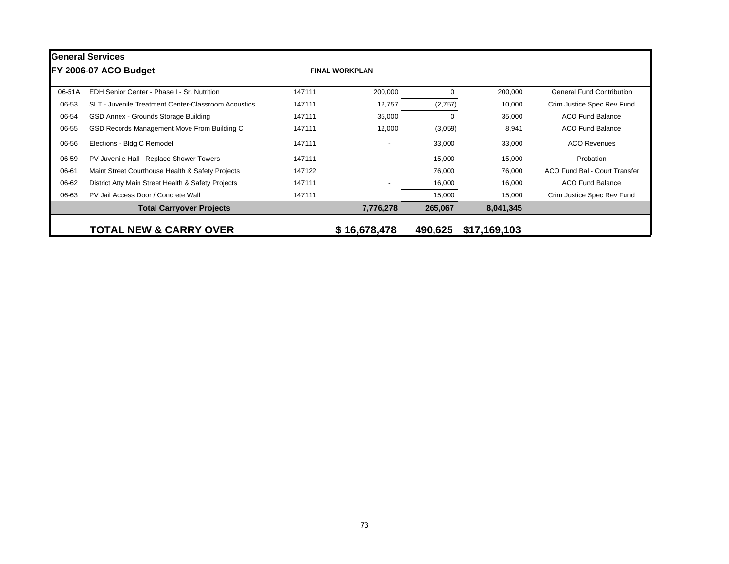|        | <b>General Services</b>                             |        |                          |          |              |                                      |  |  |  |  |
|--------|-----------------------------------------------------|--------|--------------------------|----------|--------------|--------------------------------------|--|--|--|--|
|        | <b>IFY 2006-07 ACO Budget</b>                       |        | <b>FINAL WORKPLAN</b>    |          |              |                                      |  |  |  |  |
| 06-51A | EDH Senior Center - Phase I - Sr. Nutrition         | 147111 | 200,000                  | $\Omega$ | 200,000      | <b>General Fund Contribution</b>     |  |  |  |  |
| 06-53  | SLT - Juvenile Treatment Center-Classroom Acoustics | 147111 | 12,757                   | (2,757)  | 10,000       | Crim Justice Spec Rev Fund           |  |  |  |  |
| 06-54  | GSD Annex - Grounds Storage Building                | 147111 | 35,000                   | $\Omega$ | 35,000       | <b>ACO Fund Balance</b>              |  |  |  |  |
| 06-55  | GSD Records Management Move From Building C         | 147111 | 12,000                   | (3,059)  | 8,941        | <b>ACO Fund Balance</b>              |  |  |  |  |
| 06-56  | Elections - Bldg C Remodel                          | 147111 | $\overline{\phantom{a}}$ | 33,000   | 33,000       | <b>ACO Revenues</b>                  |  |  |  |  |
| 06-59  | PV Juvenile Hall - Replace Shower Towers            | 147111 |                          | 15,000   | 15,000       | Probation                            |  |  |  |  |
| 06-61  | Maint Street Courthouse Health & Safety Projects    | 147122 |                          | 76,000   | 76,000       | <b>ACO Fund Bal - Court Transfer</b> |  |  |  |  |
| 06-62  | District Atty Main Street Health & Safety Projects  | 147111 | $\overline{\phantom{0}}$ | 16,000   | 16,000       | <b>ACO Fund Balance</b>              |  |  |  |  |
| 06-63  | PV Jail Access Door / Concrete Wall                 | 147111 |                          | 15,000   | 15,000       | Crim Justice Spec Rev Fund           |  |  |  |  |
|        | <b>Total Carryover Projects</b>                     |        | 7,776,278                | 265,067  | 8,041,345    |                                      |  |  |  |  |
|        | <b>TOTAL NEW &amp; CARRY OVER</b>                   |        | \$16,678,478             | 490,625  | \$17,169,103 |                                      |  |  |  |  |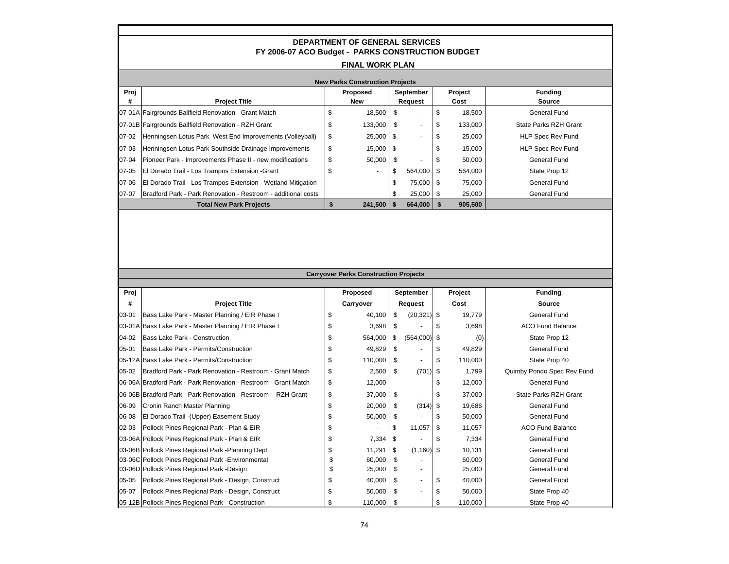|                  |                                                                                                    |          | <b>DEPARTMENT OF GENERAL SERVICES</b>        |          |                |          |                  |                                      |  |  |
|------------------|----------------------------------------------------------------------------------------------------|----------|----------------------------------------------|----------|----------------|----------|------------------|--------------------------------------|--|--|
|                  | FY 2006-07 ACO Budget - PARKS CONSTRUCTION BUDGET                                                  |          |                                              |          |                |          |                  |                                      |  |  |
|                  | <b>FINAL WORK PLAN</b>                                                                             |          |                                              |          |                |          |                  |                                      |  |  |
|                  | <b>New Parks Construction Projects</b>                                                             |          |                                              |          |                |          |                  |                                      |  |  |
| Proj             |                                                                                                    |          | <b>Proposed</b>                              |          | September      |          | Project          | <b>Funding</b>                       |  |  |
| #                | <b>Project Title</b>                                                                               |          | <b>New</b>                                   |          | Request        |          | Cost             | <b>Source</b>                        |  |  |
| 07-01A           | Fairgrounds Ballfield Renovation - Grant Match                                                     | \$       | 18,500                                       | \$       |                | \$       | 18,500           | <b>General Fund</b>                  |  |  |
| 07-01B           | Fairgrounds Ballfield Renovation - RZH Grant                                                       | \$       | 133,000                                      | \$       |                | \$       | 133,000          | State Parks RZH Grant                |  |  |
| 07-02            | Henningsen Lotus Park West End Improvements (Volleyball)                                           | \$       | 25,000                                       | \$       |                | \$       | 25,000           | <b>HLP Spec Rev Fund</b>             |  |  |
| 07-03            | Henningsen Lotus Park Southside Drainage Improvements                                              | \$       | 15,000                                       | \$       |                | \$       | 15,000           | <b>HLP Spec Rev Fund</b>             |  |  |
| 07-04            | Pioneer Park - Improvements Phase II - new modifications                                           | \$       | 50,000                                       | \$       |                | \$       | 50,000           | <b>General Fund</b>                  |  |  |
| 07-05            | El Dorado Trail - Los Trampos Extension - Grant                                                    | \$       |                                              | \$       | 564,000        | \$       | 564,000          | State Prop 12                        |  |  |
| 07-06            | El Dorado Trail - Los Trampos Extension - Wetland Mitigation                                       |          |                                              | \$       | 75,000         | \$       | 75,000           | <b>General Fund</b>                  |  |  |
| 07-07            | Bradford Park - Park Renovation - Restroom - additional costs                                      |          |                                              | \$       | 25,000         | \$       | 25,000           | <b>General Fund</b>                  |  |  |
|                  | <b>Total New Park Projects</b>                                                                     | \$       | 241,500                                      | \$       | 664,000        | \$       | 905,500          |                                      |  |  |
|                  |                                                                                                    |          |                                              |          |                |          |                  |                                      |  |  |
|                  |                                                                                                    |          | <b>Carryover Parks Construction Projects</b> |          |                |          |                  |                                      |  |  |
|                  |                                                                                                    |          |                                              |          | September      |          |                  |                                      |  |  |
| Proj<br>#        | <b>Project Title</b>                                                                               |          | Proposed<br>Carryover                        |          | Request        |          | Project<br>Cost  | <b>Funding</b><br><b>Source</b>      |  |  |
| 03-01            | Bass Lake Park - Master Planning / EIR Phase I                                                     | \$       | 40,100                                       | \$       | $(20, 321)$ \$ |          | 19,779           | General Fund                         |  |  |
|                  | 03-01A Bass Lake Park - Master Planning / EIR Phase I                                              | \$       | 3,698                                        | \$       |                | \$       | 3,698            | <b>ACO Fund Balance</b>              |  |  |
| 04-02            | Bass Lake Park - Construction                                                                      | \$       | 564,000                                      | \$       | (564,000)      | -\$      | (0)              | State Prop 12                        |  |  |
| $05 - 01$        | Bass Lake Park - Permits/Construction                                                              | \$       | 49,829                                       | \$       |                | \$       | 49,829           | <b>General Fund</b>                  |  |  |
|                  | 05-12A Bass Lake Park - Permits/Construction                                                       | \$       | 110,000                                      | \$       | $\sim$         |          |                  |                                      |  |  |
| 05-02            | Bradford Park - Park Renovation - Restroom - Grant Match                                           | \$       | 2,500                                        |          |                | \$       |                  | State Prop 40                        |  |  |
|                  |                                                                                                    |          |                                              | \$       | (701)          | \$       | 110,000<br>1,799 | Quimby Pondo Spec Rev Fund           |  |  |
|                  | 06-06A Bradford Park - Park Renovation - Restroom - Grant Match                                    | \$       | 12,000                                       |          |                | \$       | 12,000           | <b>General Fund</b>                  |  |  |
| 06-09            | 06-06B Bradford Park - Park Renovation - Restroom - RZH Grant                                      | \$       | 37,000                                       | \$       |                | \$       | 37,000           | <b>State Parks RZH Grant</b>         |  |  |
|                  | Cronin Ranch Master Planning                                                                       | \$       | 20,000                                       | \$       | (314)          | \$       | 19,686           | <b>General Fund</b>                  |  |  |
| 06-08            | El Dorado Trail - (Upper) Easement Study                                                           | \$       | 50,000                                       | \$       |                | \$       | 50,000           | <b>General Fund</b>                  |  |  |
| 02-03            | Pollock Pines Regional Park - Plan & EIR                                                           | \$       |                                              | \$       | 11,057         | \$       | 11,057           | <b>ACO Fund Balance</b>              |  |  |
|                  | 03-06A Pollock Pines Regional Park - Plan & EIR                                                    | \$       | 7,334                                        | \$       |                | \$       | 7,334            | <b>General Fund</b>                  |  |  |
|                  | 03-06B Pollock Pines Regional Park -Planning Dept                                                  | \$       | 11,291                                       | \$       | (1, 160)       | \$       | 10,131           | <b>General Fund</b>                  |  |  |
| 03-06C           | Pollock Pines Regional Park - Environmental                                                        | \$       | 60,000                                       | \$       |                |          | 60,000           | <b>General Fund</b>                  |  |  |
|                  | 03-06D Pollock Pines Regional Park -Design                                                         | \$       | 25,000                                       | \$       |                |          | 25,000           | General Fund                         |  |  |
| $05-05$<br>05-07 | Pollock Pines Regional Park - Design, Construct<br>Pollock Pines Regional Park - Design, Construct | \$<br>\$ | 40,000<br>50,000                             | \$<br>\$ | ÷,             | \$<br>\$ | 40,000<br>50,000 | <b>General Fund</b><br>State Prop 40 |  |  |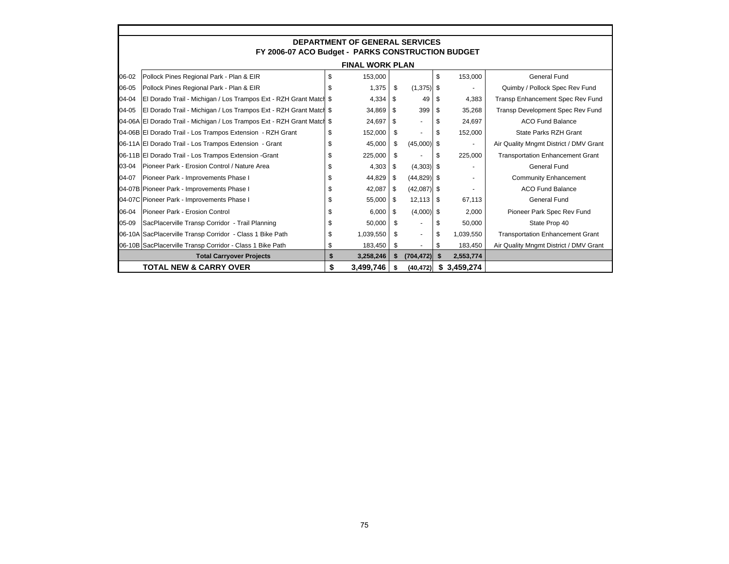|       | <b>DEPARTMENT OF GENERAL SERVICES</b>                                    |     |                        |      |                          |      |                |                                         |  |  |
|-------|--------------------------------------------------------------------------|-----|------------------------|------|--------------------------|------|----------------|-----------------------------------------|--|--|
|       | FY 2006-07 ACO Budget - PARKS CONSTRUCTION BUDGET                        |     |                        |      |                          |      |                |                                         |  |  |
|       |                                                                          |     | <b>FINAL WORK PLAN</b> |      |                          |      |                |                                         |  |  |
| 06-02 | Pollock Pines Regional Park - Plan & EIR                                 | \$  | 153,000                |      |                          | \$   | 153,000        | <b>General Fund</b>                     |  |  |
| 06-05 | Pollock Pines Regional Park - Plan & EIR                                 | \$. | 1,375                  | S    | $(1,375)$ \$             |      | $\blacksquare$ | Quimby / Pollock Spec Rev Fund          |  |  |
| 04-04 | El Dorado Trail - Michigan / Los Trampos Ext - RZH Grant Match \$        |     | 4,334                  | S.   | 49                       | - \$ | 4,383          | Transp Enhancement Spec Rev Fund        |  |  |
| 04-05 | El Dorado Trail - Michigan / Los Trampos Ext - RZH Grant Match \$        |     | 34,869                 | S    | 399                      | - \$ | 35,268         | Transp Development Spec Rev Fund        |  |  |
|       | 04-06A El Dorado Trail - Michigan / Los Trampos Ext - RZH Grant Match \$ |     | 24,697                 | \$   |                          | \$.  | 24,697         | <b>ACO Fund Balance</b>                 |  |  |
|       | 04-06B El Dorado Trail - Los Trampos Extension - RZH Grant               | \$  | 152,000                | \$   | $\overline{a}$           |      | 152,000        | State Parks RZH Grant                   |  |  |
|       | 06-11A El Dorado Trail - Los Trampos Extension - Grant                   | \$  | 45,000                 | S    | $(45,000)$ \$            |      | ۰              | Air Quality Mngmt District / DMV Grant  |  |  |
|       | 06-11B El Dorado Trail - Los Trampos Extension - Grant                   | \$  | 225,000                | \$   |                          | -S   | 225,000        | <b>Transportation Enhancement Grant</b> |  |  |
| 03-04 | Pioneer Park - Erosion Control / Nature Area                             | \$  | 4,303                  | \$   | $(4,303)$ \$             |      |                | General Fund                            |  |  |
| 04-07 | Pioneer Park - Improvements Phase I                                      |     | 44.829                 | \$   | $(44,829)$ \$            |      | $\overline{a}$ | <b>Community Enhancement</b>            |  |  |
|       | 04-07B Pioneer Park - Improvements Phase I                               |     | 42,087                 | S    | $(42,087)$ \$            |      |                | <b>ACO Fund Balance</b>                 |  |  |
|       | 04-07C Pioneer Park - Improvements Phase I                               | \$. | 55.000                 | - \$ | $12,113$ \$              |      | 67,113         | General Fund                            |  |  |
| 06-04 | Pioneer Park - Erosion Control                                           | \$  | 6,000                  | \$   | $(4,000)$ \$             |      | 2,000          | Pioneer Park Spec Rev Fund              |  |  |
| 05-09 | SacPlacerville Transp Corridor - Trail Planning                          | \$  | 50,000                 | \$   | $\overline{\phantom{a}}$ |      | 50,000         | State Prop 40                           |  |  |
|       | 06-10A SacPlacerville Transp Corridor - Class 1 Bike Path                | \$  | 1,039,550              | \$   | $\blacksquare$           |      | 1,039,550      | <b>Transportation Enhancement Grant</b> |  |  |
|       | 06-10B SacPlacerville Transp Corridor - Class 1 Bike Path                | \$  | 183,450                | S    | $\blacksquare$           | \$.  | 183,450        | Air Quality Mngmt District / DMV Grant  |  |  |
|       | <b>Total Carryover Projects</b>                                          | \$  | 3,258,246              | \$   | (704, 472)               |      | 2,553,774      |                                         |  |  |
|       | <b>TOTAL NEW &amp; CARRY OVER</b>                                        | \$  | 3,499,746              | s    | (40, 472)                |      | \$3,459,274    |                                         |  |  |

Г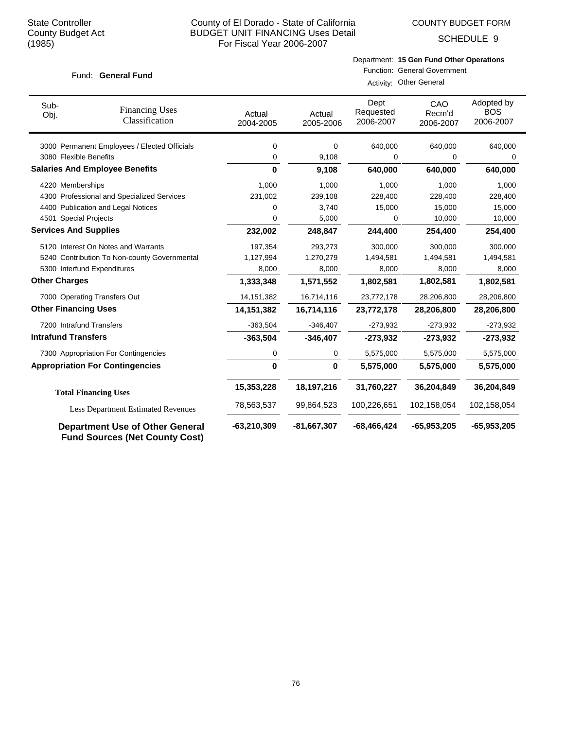COUNTY BUDGET FORM

SCHEDULE 9

#### Fund: General Fund

# Department: **15 Gen Fund Other Operations**

| Function: General Government |
|------------------------------|
| Activity: Other General      |

| Sub-<br>Obj.                 | <b>Financing Uses</b><br>Classification                                         | Actual<br>2004-2005 | Actual<br>2005-2006 | Dept<br>Requested<br>2006-2007 | CAO<br>Recm'd<br>2006-2007 | Adopted by<br><b>BOS</b><br>2006-2007 |
|------------------------------|---------------------------------------------------------------------------------|---------------------|---------------------|--------------------------------|----------------------------|---------------------------------------|
|                              | 3000 Permanent Employees / Elected Officials                                    | 0                   | 0                   | 640,000                        | 640,000                    | 640,000                               |
| 3080 Flexible Benefits       |                                                                                 | 0                   | 9,108               | 0                              | 0                          | 0                                     |
|                              | <b>Salaries And Employee Benefits</b>                                           | 0                   | 9,108               | 640,000                        | 640,000                    | 640,000                               |
| 4220 Memberships             |                                                                                 | 1,000               | 1,000               | 1,000                          | 1,000                      | 1,000                                 |
|                              | 4300 Professional and Specialized Services                                      | 231,002             | 239,108             | 228,400                        | 228,400                    | 228,400                               |
|                              | 4400 Publication and Legal Notices                                              | 0                   | 3,740               | 15,000                         | 15,000                     | 15,000                                |
| 4501 Special Projects        |                                                                                 | 0                   | 5,000               | 0                              | 10,000                     | 10,000                                |
| <b>Services And Supplies</b> |                                                                                 | 232,002             | 248,847             | 244,400                        | 254,400                    | 254,400                               |
|                              | 5120 Interest On Notes and Warrants                                             | 197,354             | 293,273             | 300,000                        | 300,000                    | 300,000                               |
|                              | 5240 Contribution To Non-county Governmental                                    | 1,127,994           | 1,270,279           | 1,494,581                      | 1,494,581                  | 1,494,581                             |
|                              | 5300 Interfund Expenditures                                                     | 8,000               | 8,000               | 8,000                          | 8,000                      | 8,000                                 |
| <b>Other Charges</b>         |                                                                                 | 1,333,348           | 1,571,552           | 1,802,581                      | 1,802,581                  | 1,802,581                             |
|                              | 7000 Operating Transfers Out                                                    | 14, 151, 382        | 16,714,116          | 23,772,178                     | 28,206,800                 | 28,206,800                            |
| <b>Other Financing Uses</b>  |                                                                                 | 14, 151, 382        | 16,714,116          | 23,772,178                     | 28,206,800                 | 28,206,800                            |
| 7200 Intrafund Transfers     |                                                                                 | $-363,504$          | $-346,407$          | $-273,932$                     | $-273,932$                 | $-273,932$                            |
| <b>Intrafund Transfers</b>   |                                                                                 | $-363,504$          | $-346,407$          | $-273,932$                     | $-273,932$                 | $-273,932$                            |
|                              | 7300 Appropriation For Contingencies                                            | 0                   | 0                   | 5,575,000                      | 5,575,000                  | 5,575,000                             |
|                              | <b>Appropriation For Contingencies</b>                                          | $\bf{0}$            | $\mathbf{0}$        | 5,575,000                      | 5,575,000                  | 5,575,000                             |
|                              | <b>Total Financing Uses</b>                                                     | 15,353,228          | 18,197,216          | 31,760,227                     | 36,204,849                 | 36,204,849                            |
|                              | <b>Less Department Estimated Revenues</b>                                       | 78,563,537          | 99,864,523          | 100,226,651                    | 102,158,054                | 102,158,054                           |
|                              | <b>Department Use of Other General</b><br><b>Fund Sources (Net County Cost)</b> | $-63,210,309$       | $-81,667,307$       | $-68,466,424$                  | $-65,953,205$              | $-65,953,205$                         |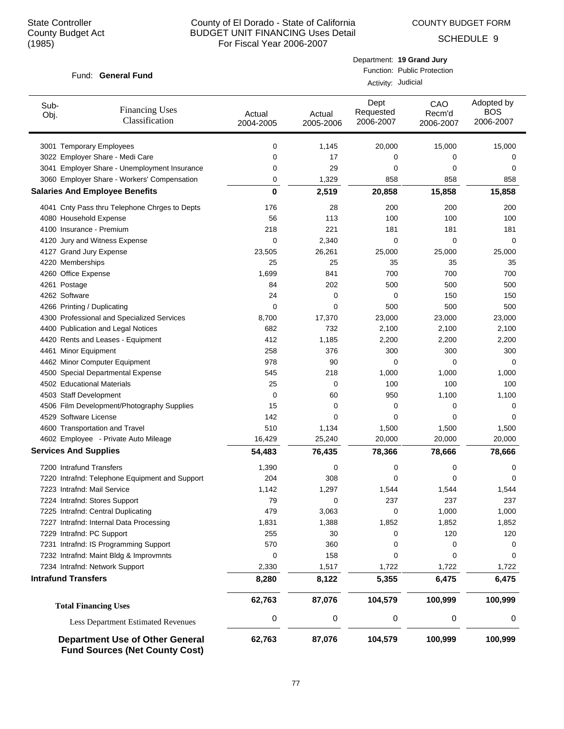COUNTY BUDGET FORM

Department: **19 Grand Jury**

SCHEDULE 9

| Fund: General Fund                                                              |                     | Function: Public Protection<br>Activity: Judicial |                                |                            |                                       |  |  |  |  |
|---------------------------------------------------------------------------------|---------------------|---------------------------------------------------|--------------------------------|----------------------------|---------------------------------------|--|--|--|--|
|                                                                                 |                     |                                                   |                                |                            |                                       |  |  |  |  |
| Sub-<br><b>Financing Uses</b><br>Obj.<br>Classification                         | Actual<br>2004-2005 | Actual<br>2005-2006                               | Dept<br>Requested<br>2006-2007 | CAO<br>Recm'd<br>2006-2007 | Adopted by<br><b>BOS</b><br>2006-2007 |  |  |  |  |
| 3001 Temporary Employees                                                        | 0                   | 1,145                                             | 20,000                         | 15,000                     | 15,000                                |  |  |  |  |
| 3022 Employer Share - Medi Care                                                 | 0                   | 17                                                | 0                              | 0                          | 0                                     |  |  |  |  |
| 3041 Employer Share - Unemployment Insurance                                    | 0                   | 29                                                | 0                              | 0                          | 0                                     |  |  |  |  |
| 3060 Employer Share - Workers' Compensation                                     | 0                   | 1,329                                             | 858                            | 858                        | 858                                   |  |  |  |  |
| <b>Salaries And Employee Benefits</b>                                           | $\mathbf 0$         | 2,519                                             | 20,858                         | 15,858                     | 15,858                                |  |  |  |  |
| 4041 Cnty Pass thru Telephone Chrges to Depts                                   | 176                 | 28                                                | 200                            | 200                        | 200                                   |  |  |  |  |
| 4080 Household Expense                                                          | 56                  | 113                                               | 100                            | 100                        | 100                                   |  |  |  |  |
| 4100 Insurance - Premium                                                        | 218                 | 221                                               | 181                            | 181                        | 181                                   |  |  |  |  |
| 4120 Jury and Witness Expense                                                   | $\mathbf 0$         | 2,340                                             | $\mathbf 0$                    | $\mathbf 0$                | 0                                     |  |  |  |  |
| 4127 Grand Jury Expense                                                         | 23,505              | 26,261                                            | 25,000                         | 25,000                     | 25,000                                |  |  |  |  |
| 4220 Memberships                                                                | 25                  | 25                                                | 35                             | 35                         | 35                                    |  |  |  |  |
| 4260 Office Expense                                                             | 1,699               | 841                                               | 700                            | 700                        | 700                                   |  |  |  |  |
| 4261 Postage                                                                    | 84                  | 202                                               | 500                            | 500                        | 500                                   |  |  |  |  |
| 4262 Software                                                                   | 24                  | 0                                                 | 0                              | 150                        | 150                                   |  |  |  |  |
| 4266 Printing / Duplicating                                                     | $\mathbf 0$         | 0                                                 | 500                            | 500                        | 500                                   |  |  |  |  |
| 4300 Professional and Specialized Services                                      | 8,700               | 17,370                                            | 23,000                         | 23,000                     | 23,000                                |  |  |  |  |
| 4400 Publication and Legal Notices                                              | 682                 | 732                                               | 2,100                          | 2,100                      | 2,100                                 |  |  |  |  |
| 4420 Rents and Leases - Equipment                                               | 412                 | 1,185                                             | 2,200                          | 2,200                      | 2,200                                 |  |  |  |  |
| 4461 Minor Equipment                                                            | 258                 | 376                                               | 300                            | 300                        | 300                                   |  |  |  |  |
| 4462 Minor Computer Equipment                                                   | 978                 | 90                                                | $\mathbf 0$                    | 0                          | 0                                     |  |  |  |  |
| 4500 Special Departmental Expense                                               | 545                 | 218                                               | 1,000                          | 1,000                      | 1,000                                 |  |  |  |  |
| 4502 Educational Materials                                                      | 25                  | 0                                                 | 100                            | 100                        | 100                                   |  |  |  |  |
| 4503 Staff Development                                                          | 0                   | 60                                                | 950                            | 1,100                      | 1,100                                 |  |  |  |  |
| 4506 Film Development/Photography Supplies                                      | 15                  | 0                                                 | 0                              | 0                          | 0                                     |  |  |  |  |
| 4529 Software License                                                           | 142                 | 0                                                 | $\mathbf 0$                    | 0                          | 0                                     |  |  |  |  |
| 4600 Transportation and Travel                                                  | 510                 | 1,134                                             | 1,500                          | 1,500                      | 1,500                                 |  |  |  |  |
| 4602 Employee - Private Auto Mileage                                            | 16,429              | 25,240                                            | 20,000                         | 20,000                     | 20,000                                |  |  |  |  |
| <b>Services And Supplies</b>                                                    | 54,483              | 76,435                                            | 78,366                         | 78,666                     | 78,666                                |  |  |  |  |
| 7200 Intrafund Transfers                                                        | 1,390               | 0                                                 | 0                              | 0                          | 0                                     |  |  |  |  |
| 7220 Intrafnd: Telephone Equipment and Support                                  | 204                 | 308                                               | 0                              | 0                          | 0                                     |  |  |  |  |
| 7223 Intrafnd: Mail Service                                                     | 1,142               | 1,297                                             | 1,544                          | 1,544                      | 1,544                                 |  |  |  |  |
| 7224 Intrafnd: Stores Support                                                   | 79                  | 0                                                 | 237                            | 237                        | 237                                   |  |  |  |  |
| 7225 Intrafnd: Central Duplicating                                              | 479                 | 3,063                                             | 0                              | 1,000                      | 1,000                                 |  |  |  |  |
| 7227 Intrafnd: Internal Data Processing                                         | 1,831               | 1,388                                             | 1,852                          | 1,852                      | 1,852                                 |  |  |  |  |
| 7229 Intrafnd: PC Support                                                       | 255                 | 30                                                | 0                              | 120                        | 120                                   |  |  |  |  |
| 7231 Intrafnd: IS Programming Support                                           | 570                 | 360                                               | 0                              | 0                          | 0                                     |  |  |  |  |
| 7232 Intrafnd: Maint Bldg & Improvmnts                                          | 0                   | 158                                               | 0                              | 0                          | 0                                     |  |  |  |  |
| 7234 Intrafnd: Network Support                                                  | 2,330               | 1,517                                             | 1,722                          | 1,722                      | 1,722                                 |  |  |  |  |
| <b>Intrafund Transfers</b>                                                      | 8,280               | 8,122                                             | 5,355                          | 6,475                      | 6,475                                 |  |  |  |  |
| <b>Total Financing Uses</b>                                                     | 62,763              | 87,076                                            | 104,579                        | 100,999                    | 100,999                               |  |  |  |  |
| <b>Less Department Estimated Revenues</b>                                       | 0                   | $\pmb{0}$                                         | 0                              | 0                          | 0                                     |  |  |  |  |
| <b>Department Use of Other General</b><br><b>Fund Sources (Net County Cost)</b> | 62,763              | 87,076                                            | 104,579                        | 100,999                    | 100,999                               |  |  |  |  |